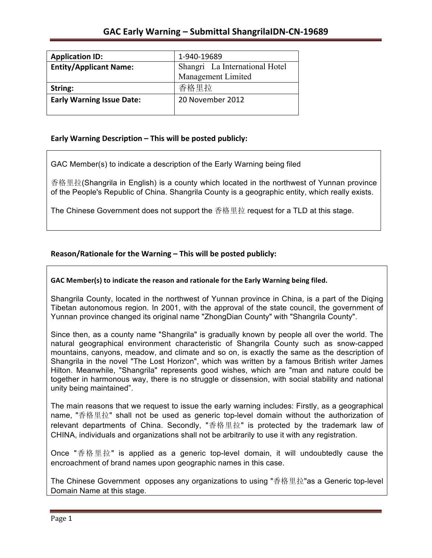| <b>Application ID:</b>           | 1-940-19689                    |
|----------------------------------|--------------------------------|
| <b>Entity/Applicant Name:</b>    | Shangri La International Hotel |
|                                  | Management Limited             |
| String:                          | 香格里拉                           |
| <b>Early Warning Issue Date:</b> | 20 November 2012               |
|                                  |                                |

### Early Warning Description - This will be posted publicly:

GAC Member(s) to indicate a description of the Early Warning being filed

香格里拉(Shangrila in English) is a county which located in the northwest of Yunnan province of the People's Republic of China. Shangrila County is a geographic entity, which really exists.

The Chinese Government does not support the 香格里拉 request for a TLD at this stage.

## Reason/Rationale for the Warning – This will be posted publicly:

#### GAC Member(s) to indicate the reason and rationale for the Early Warning being filed.

Shangrila County, located in the northwest of Yunnan province in China, is a part of the Diqing Tibetan autonomous region. In 2001, with the approval of the state council, the government of Yunnan province changed its original name "ZhongDian County" with "Shangrila County".

Since then, as a county name "Shangrila" is gradually known by people all over the world. The natural geographical environment characteristic of Shangrila County such as snow-capped mountains, canyons, meadow, and climate and so on, is exactly the same as the description of Shangrila in the novel "The Lost Horizon", which was written by a famous British writer James Hilton. Meanwhile, "Shangrila" represents good wishes, which are "man and nature could be together in harmonous way, there is no struggle or dissension, with social stability and national unity being maintained".

The main reasons that we request to issue the early warning includes: Firstly, as a geographical name, "香格里拉" shall not be used as generic top-level domain without the authorization of relevant departments of China. Secondly, "香格里拉" is protected by the trademark law of CHINA, individuals and organizations shall not be arbitrarily to use it with any registration.

Once "香格里拉" is applied as a generic top-level domain, it will undoubtedly cause the encroachment of brand names upon geographic names in this case.

The Chinese Government opposes any organizations to using "香格里拉"as a Generic top-level Domain Name at this stage.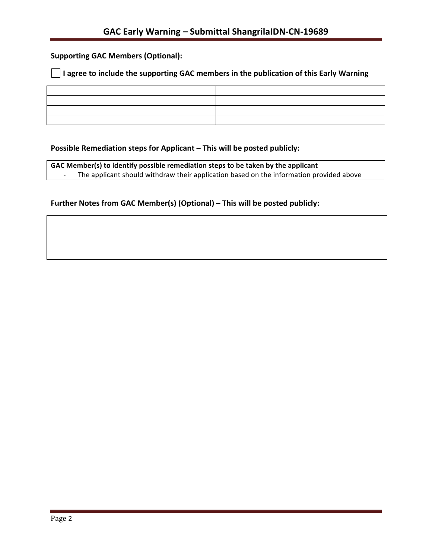# **Supporting GAC Members (Optional):**

### **I** l agree to include the supporting GAC members in the publication of this Early Warning

## **Possible Remediation steps for Applicant – This will be posted publicly:**

GAC Member(s) to identify possible remediation steps to be taken by the applicant - The applicant should withdraw their application based on the information provided above

## Further Notes from GAC Member(s) (Optional) – This will be posted publicly: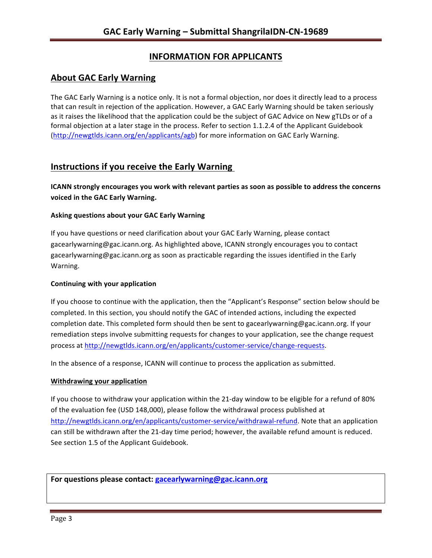# **INFORMATION FOR APPLICANTS**

## **About GAC Early Warning**

The GAC Early Warning is a notice only. It is not a formal objection, nor does it directly lead to a process that can result in rejection of the application. However, a GAC Early Warning should be taken seriously as it raises the likelihood that the application could be the subject of GAC Advice on New gTLDs or of a formal objection at a later stage in the process. Refer to section 1.1.2.4 of the Applicant Guidebook (http://newgtlds.icann.org/en/applicants/agb) for more information on GAC Early Warning.

## **Instructions if you receive the Early Warning**

**ICANN** strongly encourages you work with relevant parties as soon as possible to address the concerns **voiced in the GAC Early Warning.** 

#### **Asking questions about your GAC Early Warning**

If you have questions or need clarification about your GAC Early Warning, please contact gacearlywarning@gac.icann.org. As highlighted above, ICANN strongly encourages you to contact gacearlywarning@gac.icann.org as soon as practicable regarding the issues identified in the Early Warning. 

#### **Continuing with your application**

If you choose to continue with the application, then the "Applicant's Response" section below should be completed. In this section, you should notify the GAC of intended actions, including the expected completion date. This completed form should then be sent to gacearlywarning@gac.icann.org. If your remediation steps involve submitting requests for changes to your application, see the change request process at http://newgtlds.icann.org/en/applicants/customer-service/change-requests.

In the absence of a response, ICANN will continue to process the application as submitted.

#### **Withdrawing your application**

If you choose to withdraw your application within the 21-day window to be eligible for a refund of 80% of the evaluation fee (USD 148,000), please follow the withdrawal process published at http://newgtlds.icann.org/en/applicants/customer-service/withdrawal-refund. Note that an application can still be withdrawn after the 21-day time period; however, the available refund amount is reduced. See section 1.5 of the Applicant Guidebook.

For questions please contact: gacearlywarning@gac.icann.org